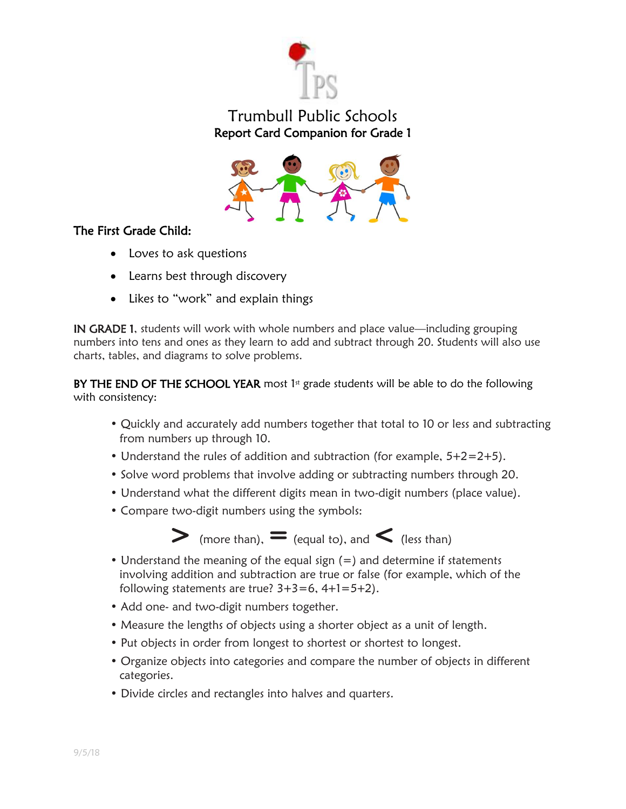

## Trumbull Public Schools Report Card Companion for Grade 1



## The First Grade Child:

- Loves to ask questions
- Learns best through discovery
- Likes to "work" and explain things

IN GRADE 1, students will work with whole numbers and place value—including grouping numbers into tens and ones as they learn to add and subtract through 20. Students will also use charts, tables, and diagrams to solve problems.

BY THE END OF THE SCHOOL YEAR most 1st grade students will be able to do the following with consistency:

- Quickly and accurately add numbers together that total to 10 or less and subtracting from numbers up through 10.
- Understand the rules of addition and subtraction (for example,  $5+2=2+5$ ).
- Solve word problems that involve adding or subtracting numbers through 20.
- Understand what the different digits mean in two-digit numbers (place value).
- Compare two-digit numbers using the symbols:



- Understand the meaning of the equal sign (=) and determine if statements involving addition and subtraction are true or false (for example, which of the following statements are true?  $3+3=6$ ,  $4+1=5+2$ ).
- Add one- and two-digit numbers together.
- Measure the lengths of objects using a shorter object as a unit of length.
- Put objects in order from longest to shortest or shortest to longest.
- Organize objects into categories and compare the number of objects in different categories.
- Divide circles and rectangles into halves and quarters.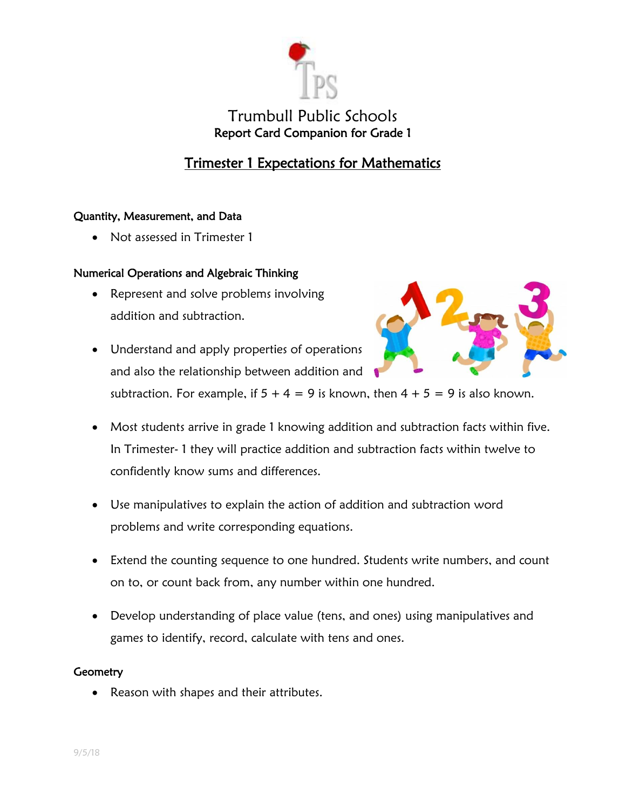

## Trimester 1 Expectations for Mathematics

#### Quantity, Measurement, and Data

Not assessed in Trimester 1

#### Numerical Operations and Algebraic Thinking

- Represent and solve problems involving addition and subtraction.
- Understand and apply properties of operations and also the relationship between addition and



subtraction. For example, if  $5 + 4 = 9$  is known, then  $4 + 5 = 9$  is also known.

- Most students arrive in grade 1 knowing addition and subtraction facts within five. In Trimester- 1 they will practice addition and subtraction facts within twelve to confidently know sums and differences.
- Use manipulatives to explain the action of addition and subtraction word problems and write corresponding equations.
- Extend the counting sequence to one hundred. Students write numbers, and count on to, or count back from, any number within one hundred.
- Develop understanding of place value (tens, and ones) using manipulatives and games to identify, record, calculate with tens and ones.

#### **Geometry**

Reason with shapes and their attributes.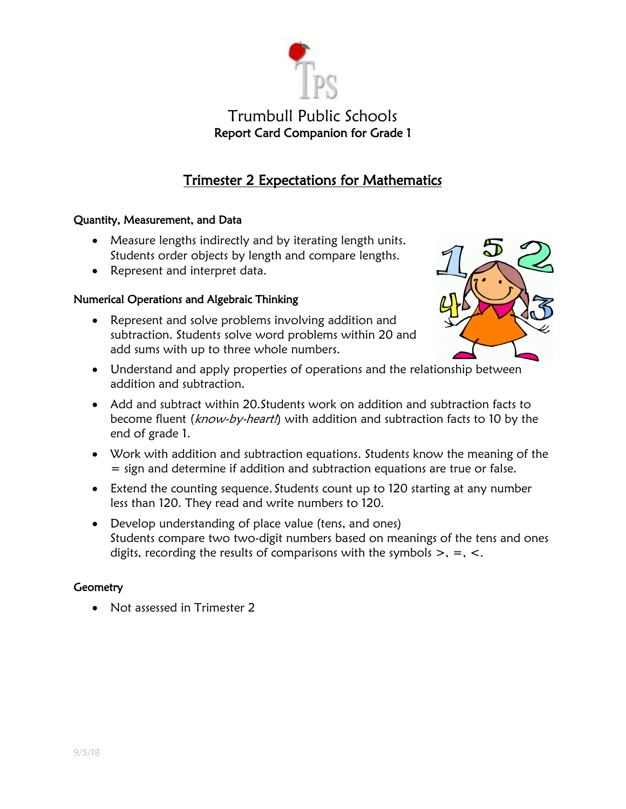

# Trimester 2 Expectations for Mathematics

### Quantity, Measurement, and Data

- Measure lengths indirectly and by iterating length units. Students order objects by length and compare lengths.
- Represent and interpret data.

## Numerical Operations and Algebraic Thinking

 Represent and solve problems involving addition and subtraction. Students solve word problems within 20 and add sums with up to three whole numbers.



- Understand and apply properties of operations and the relationship between addition and subtraction.
- Add and subtract within 20.Students work on addition and subtraction facts to become fluent (know-by-heart!) with addition and subtraction facts to 10 by the end of grade 1.
- Work with addition and subtraction equations. Students know the meaning of the = sign and determine if addition and subtraction equations are true or false.
- Extend the counting sequence. Students count up to 120 starting at any number less than 120. They read and write numbers to 120.
- Develop understanding of place value (tens, and ones) Students compare two two-digit numbers based on meanings of the tens and ones digits, recording the results of comparisons with the symbols  $\geq$ ,  $=$ ,  $\lt$ .

### **Geometry**

• Not assessed in Trimester 2